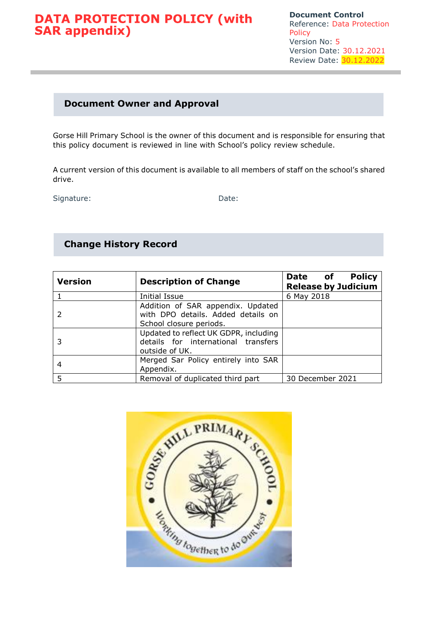**Document Control** Reference: Data Protection Policy Version No: 5 Version Date: 30.12.2021 Review Date: 30.12.2022

### **Document Owner and Approval**

Gorse Hill Primary School is the owner of this document and is responsible for ensuring that this policy document is reviewed in line with School's policy review schedule.

A current version of this document is available to all members of staff on the school's shared drive.

Signature: Date:

### **Change History Record**

| <b>Version</b> | <b>Description of Change</b>                                                                       | <b>Policy</b><br>Date of<br><b>Release by Judicium</b> |
|----------------|----------------------------------------------------------------------------------------------------|--------------------------------------------------------|
|                | <b>Initial Issue</b>                                                                               | 6 May 2018                                             |
|                | Addition of SAR appendix. Updated<br>with DPO details. Added details on<br>School closure periods. |                                                        |
|                | Updated to reflect UK GDPR, including<br>details for international transfers<br>outside of UK.     |                                                        |
| 4              | Merged Sar Policy entirely into SAR<br>Appendix.                                                   |                                                        |
| 5              | Removal of duplicated third part                                                                   | 30 December 2021                                       |

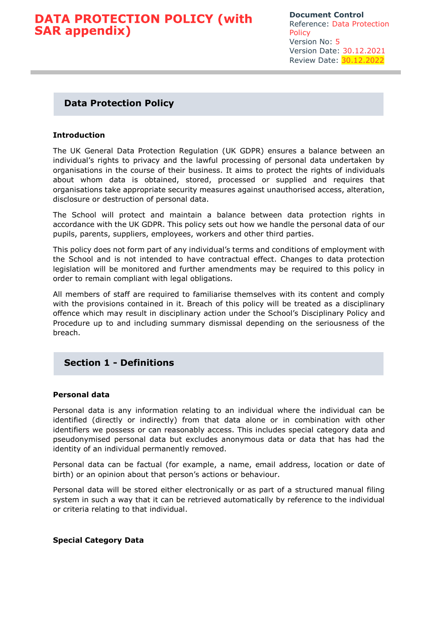**Document Control** Reference: Data Protection **Policy** Version No: 5 Version Date: 30.12.2021 Review Date: 30.12.2022

### **Data Protection Policy**

### **Introduction**

The UK General Data Protection Regulation (UK GDPR) ensures a balance between an individual's rights to privacy and the lawful processing of personal data undertaken by organisations in the course of their business. It aims to protect the rights of individuals about whom data is obtained, stored, processed or supplied and requires that organisations take appropriate security measures against unauthorised access, alteration, disclosure or destruction of personal data.

The School will protect and maintain a balance between data protection rights in accordance with the UK GDPR. This policy sets out how we handle the personal data of our pupils, parents, suppliers, employees, workers and other third parties.

This policy does not form part of any individual's terms and conditions of employment with the School and is not intended to have contractual effect. Changes to data protection legislation will be monitored and further amendments may be required to this policy in order to remain compliant with legal obligations.

All members of staff are required to familiarise themselves with its content and comply with the provisions contained in it. Breach of this policy will be treated as a disciplinary offence which may result in disciplinary action under the School's Disciplinary Policy and Procedure up to and including summary dismissal depending on the seriousness of the breach.

### **Section 1 - Definitions**

#### **Personal data**

Personal data is any information relating to an individual where the individual can be identified (directly or indirectly) from that data alone or in combination with other identifiers we possess or can reasonably access. This includes special category data and pseudonymised personal data but excludes anonymous data or data that has had the identity of an individual permanently removed.

Personal data can be factual (for example, a name, email address, location or date of birth) or an opinion about that person's actions or behaviour.

Personal data will be stored either electronically or as part of a structured manual filing system in such a way that it can be retrieved automatically by reference to the individual or criteria relating to that individual.

#### **Special Category Data**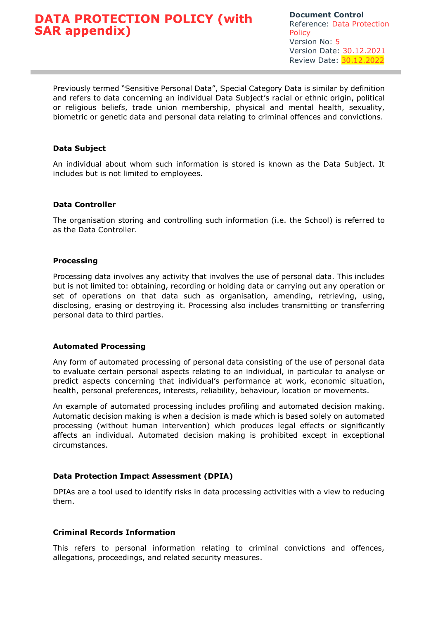Previously termed "Sensitive Personal Data", Special Category Data is similar by definition and refers to data concerning an individual Data Subject's racial or ethnic origin, political or religious beliefs, trade union membership, physical and mental health, sexuality, biometric or genetic data and personal data relating to criminal offences and convictions.

### **Data Subject**

An individual about whom such information is stored is known as the Data Subject. It includes but is not limited to employees.

### **Data Controller**

The organisation storing and controlling such information (i.e. the School) is referred to as the Data Controller.

### **Processing**

Processing data involves any activity that involves the use of personal data. This includes but is not limited to: obtaining, recording or holding data or carrying out any operation or set of operations on that data such as organisation, amending, retrieving, using, disclosing, erasing or destroying it. Processing also includes transmitting or transferring personal data to third parties.

#### **Automated Processing**

Any form of automated processing of personal data consisting of the use of personal data to evaluate certain personal aspects relating to an individual, in particular to analyse or predict aspects concerning that individual's performance at work, economic situation, health, personal preferences, interests, reliability, behaviour, location or movements.

An example of automated processing includes profiling and automated decision making. Automatic decision making is when a decision is made which is based solely on automated processing (without human intervention) which produces legal effects or significantly affects an individual. Automated decision making is prohibited except in exceptional circumstances.

### **Data Protection Impact Assessment (DPIA)**

DPIAs are a tool used to identify risks in data processing activities with a view to reducing them.

### **Criminal Records Information**

This refers to personal information relating to criminal convictions and offences, allegations, proceedings, and related security measures.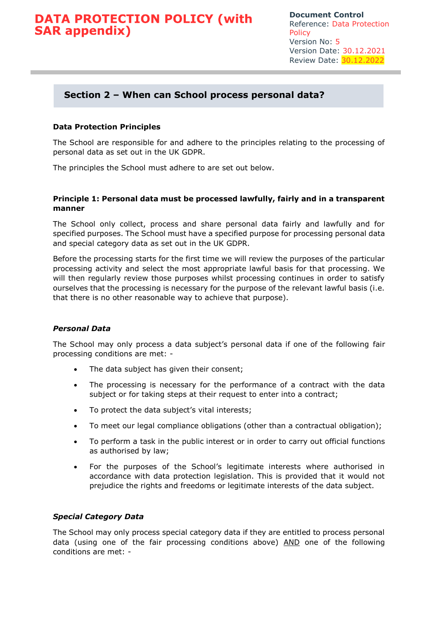### **Section 2 – When can School process personal data?**

### **Data Protection Principles**

The School are responsible for and adhere to the principles relating to the processing of personal data as set out in the UK GDPR.

The principles the School must adhere to are set out below.

### **Principle 1: Personal data must be processed lawfully, fairly and in a transparent manner**

The School only collect, process and share personal data fairly and lawfully and for specified purposes. The School must have a specified purpose for processing personal data and special category data as set out in the UK GDPR.

Before the processing starts for the first time we will review the purposes of the particular processing activity and select the most appropriate lawful basis for that processing. We will then regularly review those purposes whilst processing continues in order to satisfy ourselves that the processing is necessary for the purpose of the relevant lawful basis (i.e. that there is no other reasonable way to achieve that purpose).

### *Personal Data*

The School may only process a data subject's personal data if one of the following fair processing conditions are met: -

- The data subject has given their consent;
- The processing is necessary for the performance of a contract with the data subject or for taking steps at their request to enter into a contract:
- To protect the data subject's vital interests;
- To meet our legal compliance obligations (other than a contractual obligation);
- To perform a task in the public interest or in order to carry out official functions as authorised by law;
- For the purposes of the School's legitimate interests where authorised in accordance with data protection legislation. This is provided that it would not prejudice the rights and freedoms or legitimate interests of the data subject.

### *Special Category Data*

The School may only process special category data if they are entitled to process personal data (using one of the fair processing conditions above) AND one of the following conditions are met: -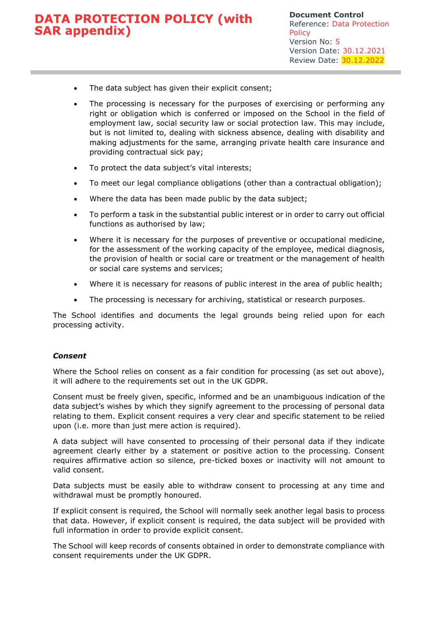- The data subject has given their explicit consent;
- The processing is necessary for the purposes of exercising or performing any right or obligation which is conferred or imposed on the School in the field of employment law, social security law or social protection law. This may include, but is not limited to, dealing with sickness absence, dealing with disability and making adjustments for the same, arranging private health care insurance and providing contractual sick pay;
- To protect the data subject's vital interests;
- To meet our legal compliance obligations (other than a contractual obligation);
- Where the data has been made public by the data subject;
- To perform a task in the substantial public interest or in order to carry out official functions as authorised by law;
- Where it is necessary for the purposes of preventive or occupational medicine, for the assessment of the working capacity of the employee, medical diagnosis, the provision of health or social care or treatment or the management of health or social care systems and services;
- Where it is necessary for reasons of public interest in the area of public health;
- The processing is necessary for archiving, statistical or research purposes.

The School identifies and documents the legal grounds being relied upon for each processing activity.

### *Consent*

Where the School relies on consent as a fair condition for processing (as set out above), it will adhere to the requirements set out in the UK GDPR.

Consent must be freely given, specific, informed and be an unambiguous indication of the data subject's wishes by which they signify agreement to the processing of personal data relating to them. Explicit consent requires a very clear and specific statement to be relied upon (i.e. more than just mere action is required).

A data subject will have consented to processing of their personal data if they indicate agreement clearly either by a statement or positive action to the processing. Consent requires affirmative action so silence, pre-ticked boxes or inactivity will not amount to valid consent.

Data subjects must be easily able to withdraw consent to processing at any time and withdrawal must be promptly honoured.

If explicit consent is required, the School will normally seek another legal basis to process that data. However, if explicit consent is required, the data subject will be provided with full information in order to provide explicit consent.

The School will keep records of consents obtained in order to demonstrate compliance with consent requirements under the UK GDPR.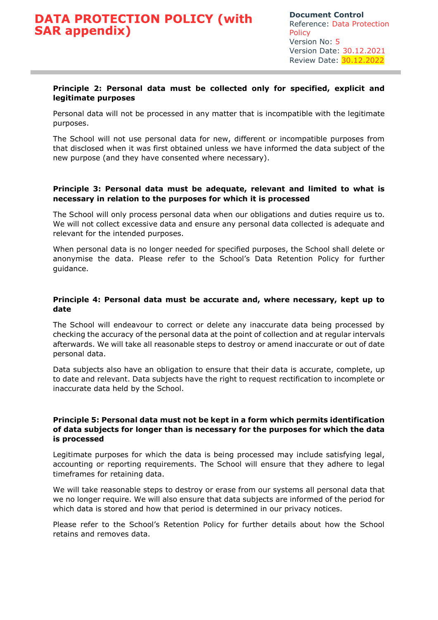### **Principle 2: Personal data must be collected only for specified, explicit and legitimate purposes**

Personal data will not be processed in any matter that is incompatible with the legitimate purposes.

The School will not use personal data for new, different or incompatible purposes from that disclosed when it was first obtained unless we have informed the data subject of the new purpose (and they have consented where necessary).

### **Principle 3: Personal data must be adequate, relevant and limited to what is necessary in relation to the purposes for which it is processed**

The School will only process personal data when our obligations and duties require us to. We will not collect excessive data and ensure any personal data collected is adequate and relevant for the intended purposes.

When personal data is no longer needed for specified purposes, the School shall delete or anonymise the data. Please refer to the School's Data Retention Policy for further guidance.

### **Principle 4: Personal data must be accurate and, where necessary, kept up to date**

The School will endeavour to correct or delete any inaccurate data being processed by checking the accuracy of the personal data at the point of collection and at regular intervals afterwards. We will take all reasonable steps to destroy or amend inaccurate or out of date personal data.

Data subjects also have an obligation to ensure that their data is accurate, complete, up to date and relevant. Data subjects have the right to request rectification to incomplete or inaccurate data held by the School.

### **Principle 5: Personal data must not be kept in a form which permits identification of data subjects for longer than is necessary for the purposes for which the data is processed**

Legitimate purposes for which the data is being processed may include satisfying legal, accounting or reporting requirements. The School will ensure that they adhere to legal timeframes for retaining data.

We will take reasonable steps to destroy or erase from our systems all personal data that we no longer require. We will also ensure that data subjects are informed of the period for which data is stored and how that period is determined in our privacy notices.

Please refer to the School's Retention Policy for further details about how the School retains and removes data.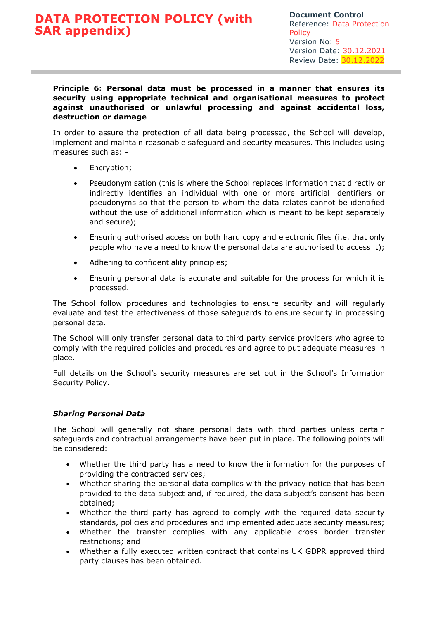### **Principle 6: Personal data must be processed in a manner that ensures its security using appropriate technical and organisational measures to protect against unauthorised or unlawful processing and against accidental loss, destruction or damage**

In order to assure the protection of all data being processed, the School will develop, implement and maintain reasonable safeguard and security measures. This includes using measures such as: -

- Encryption;
- Pseudonymisation (this is where the School replaces information that directly or indirectly identifies an individual with one or more artificial identifiers or pseudonyms so that the person to whom the data relates cannot be identified without the use of additional information which is meant to be kept separately and secure);
- Ensuring authorised access on both hard copy and electronic files (i.e. that only people who have a need to know the personal data are authorised to access it);
- Adhering to confidentiality principles;
- Ensuring personal data is accurate and suitable for the process for which it is processed.

The School follow procedures and technologies to ensure security and will regularly evaluate and test the effectiveness of those safeguards to ensure security in processing personal data.

The School will only transfer personal data to third party service providers who agree to comply with the required policies and procedures and agree to put adequate measures in place.

Full details on the School's security measures are set out in the School's Information Security Policy.

### *Sharing Personal Data*

The School will generally not share personal data with third parties unless certain safeguards and contractual arrangements have been put in place. The following points will be considered:

- Whether the third party has a need to know the information for the purposes of providing the contracted services;
- Whether sharing the personal data complies with the privacy notice that has been provided to the data subject and, if required, the data subject's consent has been obtained;
- Whether the third party has agreed to comply with the required data security standards, policies and procedures and implemented adequate security measures;
- Whether the transfer complies with any applicable cross border transfer restrictions; and
- Whether a fully executed written contract that contains UK GDPR approved third party clauses has been obtained.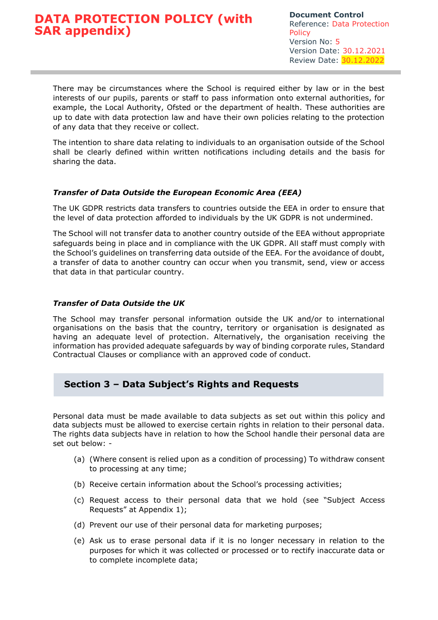There may be circumstances where the School is required either by law or in the best interests of our pupils, parents or staff to pass information onto external authorities, for example, the Local Authority, Ofsted or the department of health. These authorities are up to date with data protection law and have their own policies relating to the protection of any data that they receive or collect.

The intention to share data relating to individuals to an organisation outside of the School shall be clearly defined within written notifications including details and the basis for sharing the data.

### *Transfer of Data Outside the European Economic Area (EEA)*

The UK GDPR restricts data transfers to countries outside the EEA in order to ensure that the level of data protection afforded to individuals by the UK GDPR is not undermined.

The School will not transfer data to another country outside of the EEA without appropriate safeguards being in place and in compliance with the UK GDPR. All staff must comply with the School's guidelines on transferring data outside of the EEA. For the avoidance of doubt, a transfer of data to another country can occur when you transmit, send, view or access that data in that particular country.

### *Transfer of Data Outside the UK*

The School may transfer personal information outside the UK and/or to international organisations on the basis that the country, territory or organisation is designated as having an adequate level of protection. Alternatively, the organisation receiving the information has provided adequate safeguards by way of binding corporate rules, Standard Contractual Clauses or compliance with an approved code of conduct.

### **Section 3 – Data Subject's Rights and Requests**

Personal data must be made available to data subjects as set out within this policy and data subjects must be allowed to exercise certain rights in relation to their personal data. The rights data subjects have in relation to how the School handle their personal data are set out below: -

- (a) (Where consent is relied upon as a condition of processing) To withdraw consent to processing at any time;
- (b) Receive certain information about the School's processing activities;
- (c) Request access to their personal data that we hold (see "Subject Access Requests" at Appendix 1);
- (d) Prevent our use of their personal data for marketing purposes;
- (e) Ask us to erase personal data if it is no longer necessary in relation to the purposes for which it was collected or processed or to rectify inaccurate data or to complete incomplete data;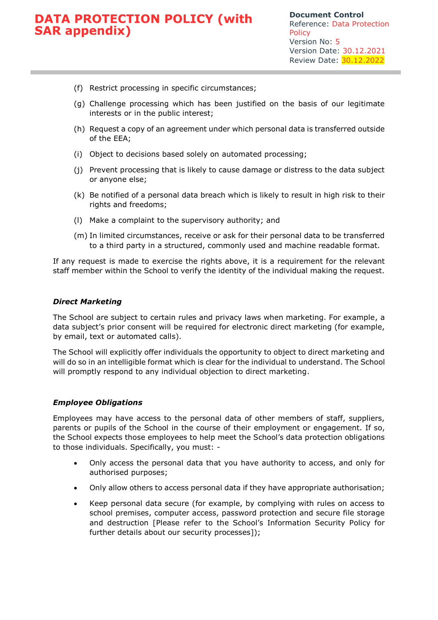- (f) Restrict processing in specific circumstances;
- (g) Challenge processing which has been justified on the basis of our legitimate interests or in the public interest;
- (h) Request a copy of an agreement under which personal data is transferred outside of the EEA;
- (i) Object to decisions based solely on automated processing;
- (j) Prevent processing that is likely to cause damage or distress to the data subject or anyone else;
- (k) Be notified of a personal data breach which is likely to result in high risk to their rights and freedoms;
- (l) Make a complaint to the supervisory authority; and
- (m) In limited circumstances, receive or ask for their personal data to be transferred to a third party in a structured, commonly used and machine readable format.

If any request is made to exercise the rights above, it is a requirement for the relevant staff member within the School to verify the identity of the individual making the request.

#### *Direct Marketing*

The School are subject to certain rules and privacy laws when marketing. For example, a data subject's prior consent will be required for electronic direct marketing (for example, by email, text or automated calls).

The School will explicitly offer individuals the opportunity to object to direct marketing and will do so in an intelligible format which is clear for the individual to understand. The School will promptly respond to any individual objection to direct marketing.

#### *Employee Obligations*

Employees may have access to the personal data of other members of staff, suppliers, parents or pupils of the School in the course of their employment or engagement. If so, the School expects those employees to help meet the School's data protection obligations to those individuals. Specifically, you must: -

- Only access the personal data that you have authority to access, and only for authorised purposes;
- Only allow others to access personal data if they have appropriate authorisation;
- Keep personal data secure (for example, by complying with rules on access to school premises, computer access, password protection and secure file storage and destruction [Please refer to the School's Information Security Policy for further details about our security processes]);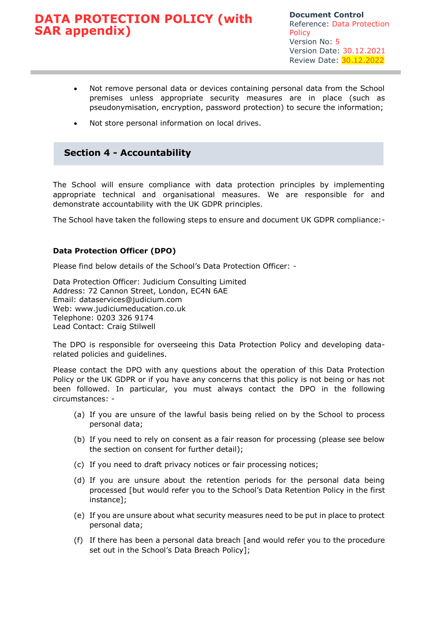- Not remove personal data or devices containing personal data from the School premises unless appropriate security measures are in place (such as pseudonymisation, encryption, password protection) to secure the information;
- Not store personal information on local drives.

### **Section 4 - Accountability**

The School will ensure compliance with data protection principles by implementing appropriate technical and organisational measures. We are responsible for and demonstrate accountability with the UK GDPR principles.

The School have taken the following steps to ensure and document UK GDPR compliance:-

### **Data Protection Officer (DPO)**

Please find below details of the School's Data Protection Officer: -

Data Protection Officer: Judicium Consulting Limited Address: 72 Cannon Street, London, EC4N 6AE Email: [dataservices@judicium.com](mailto:dataservices@judicium.com) Web: www.judiciumeducation.co.uk Telephone: 0203 326 9174 Lead Contact: Craig Stilwell

The DPO is responsible for overseeing this Data Protection Policy and developing datarelated policies and guidelines.

Please contact the DPO with any questions about the operation of this Data Protection Policy or the UK GDPR or if you have any concerns that this policy is not being or has not been followed. In particular, you must always contact the DPO in the following circumstances: -

- (a) If you are unsure of the lawful basis being relied on by the School to process personal data;
- (b) If you need to rely on consent as a fair reason for processing (please see below the section on consent for further detail);
- (c) If you need to draft privacy notices or fair processing notices;
- (d) If you are unsure about the retention periods for the personal data being processed [but would refer you to the School's Data Retention Policy in the first instance];
- (e) If you are unsure about what security measures need to be put in place to protect personal data;
- (f) If there has been a personal data breach [and would refer you to the procedure set out in the School's Data Breach Policy];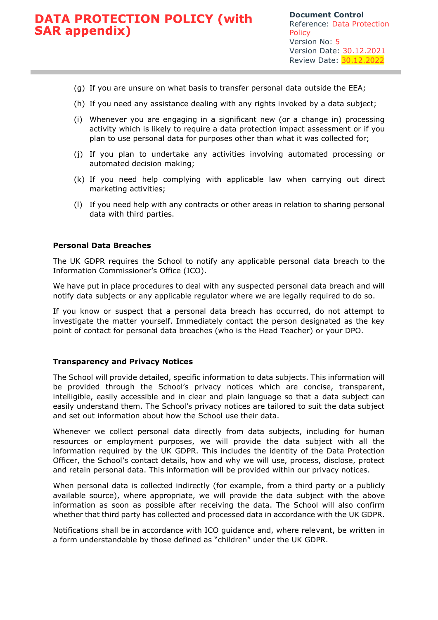- (g) If you are unsure on what basis to transfer personal data outside the EEA;
- (h) If you need any assistance dealing with any rights invoked by a data subject;
- (i) Whenever you are engaging in a significant new (or a change in) processing activity which is likely to require a data protection impact assessment or if you plan to use personal data for purposes other than what it was collected for;
- (j) If you plan to undertake any activities involving automated processing or automated decision making;
- (k) If you need help complying with applicable law when carrying out direct marketing activities;
- (l) If you need help with any contracts or other areas in relation to sharing personal data with third parties.

### **Personal Data Breaches**

The UK GDPR requires the School to notify any applicable personal data breach to the Information Commissioner's Office (ICO).

We have put in place procedures to deal with any suspected personal data breach and will notify data subjects or any applicable regulator where we are legally required to do so.

If you know or suspect that a personal data breach has occurred, do not attempt to investigate the matter yourself. Immediately contact the person designated as the key point of contact for personal data breaches (who is the Head Teacher) or your DPO.

#### **Transparency and Privacy Notices**

The School will provide detailed, specific information to data subjects. This information will be provided through the School's privacy notices which are concise, transparent, intelligible, easily accessible and in clear and plain language so that a data subject can easily understand them. The School's privacy notices are tailored to suit the data subject and set out information about how the School use their data.

Whenever we collect personal data directly from data subjects, including for human resources or employment purposes, we will provide the data subject with all the information required by the UK GDPR. This includes the identity of the Data Protection Officer, the School's contact details, how and why we will use, process, disclose, protect and retain personal data. This information will be provided within our privacy notices.

When personal data is collected indirectly (for example, from a third party or a publicly available source), where appropriate, we will provide the data subject with the above information as soon as possible after receiving the data. The School will also confirm whether that third party has collected and processed data in accordance with the UK GDPR.

Notifications shall be in accordance with ICO guidance and, where relevant, be written in a form understandable by those defined as "children" under the UK GDPR.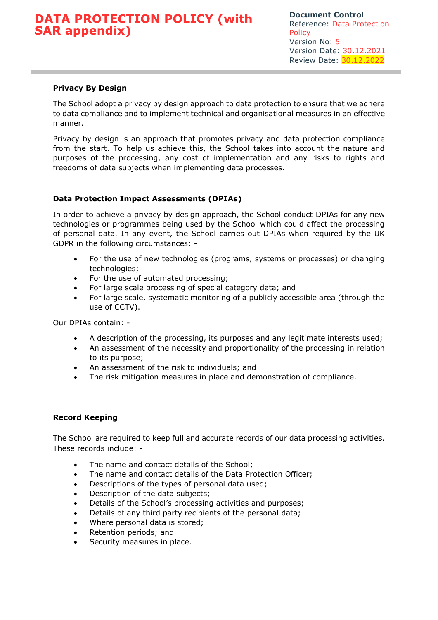### **Privacy By Design**

The School adopt a privacy by design approach to data protection to ensure that we adhere to data compliance and to implement technical and organisational measures in an effective manner.

Privacy by design is an approach that promotes privacy and data protection compliance from the start. To help us achieve this, the School takes into account the nature and purposes of the processing, any cost of implementation and any risks to rights and freedoms of data subjects when implementing data processes.

### **Data Protection Impact Assessments (DPIAs)**

In order to achieve a privacy by design approach, the School conduct DPIAs for any new technologies or programmes being used by the School which could affect the processing of personal data. In any event, the School carries out DPIAs when required by the UK GDPR in the following circumstances: -

- For the use of new technologies (programs, systems or processes) or changing technologies;
- For the use of automated processing;
- For large scale processing of special category data; and
- For large scale, systematic monitoring of a publicly accessible area (through the use of CCTV).

Our DPIAs contain: -

- A description of the processing, its purposes and any legitimate interests used;
- An assessment of the necessity and proportionality of the processing in relation to its purpose;
- An assessment of the risk to individuals; and
- The risk mitigation measures in place and demonstration of compliance.

### **Record Keeping**

The School are required to keep full and accurate records of our data processing activities. These records include: -

- The name and contact details of the School;
- The name and contact details of the Data Protection Officer;
- Descriptions of the types of personal data used;
- Description of the data subjects;
- Details of the School's processing activities and purposes;
- Details of any third party recipients of the personal data;
- Where personal data is stored;
- Retention periods; and
- Security measures in place.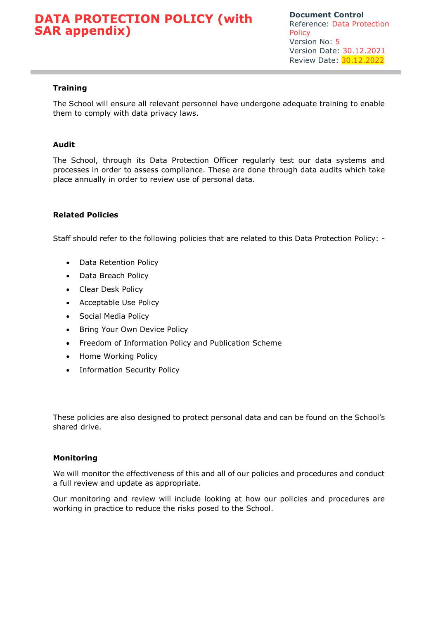### **Training**

The School will ensure all relevant personnel have undergone adequate training to enable them to comply with data privacy laws.

### **Audit**

The School, through its Data Protection Officer regularly test our data systems and processes in order to assess compliance. These are done through data audits which take place annually in order to review use of personal data.

### **Related Policies**

Staff should refer to the following policies that are related to this Data Protection Policy: -

- Data Retention Policy
- Data Breach Policy
- Clear Desk Policy
- Acceptable Use Policy
- Social Media Policy
- Bring Your Own Device Policy
- Freedom of Information Policy and Publication Scheme
- Home Working Policy
- Information Security Policy

These policies are also designed to protect personal data and can be found on the School's shared drive.

#### **Monitoring**

We will monitor the effectiveness of this and all of our policies and procedures and conduct a full review and update as appropriate.

Our monitoring and review will include looking at how our policies and procedures are working in practice to reduce the risks posed to the School.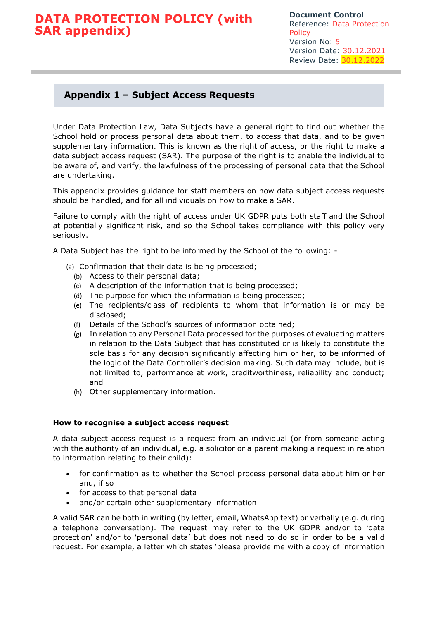### **Appendix 1 – Subject Access Requests**

Under Data Protection Law, Data Subjects have a general right to find out whether the School hold or process personal data about them, to access that data, and to be given supplementary information. This is known as the right of access, or the right to make a data subject access request (SAR). The purpose of the right is to enable the individual to be aware of, and verify, the lawfulness of the processing of personal data that the School are undertaking.

This appendix provides guidance for staff members on how data subject access requests should be handled, and for all individuals on how to make a SAR.

Failure to comply with the right of access under UK GDPR puts both staff and the School at potentially significant risk, and so the School takes compliance with this policy very seriously.

A Data Subject has the right to be informed by the School of the following: -

- (a) Confirmation that their data is being processed;
	- (b) Access to their personal data;
	- (c) A description of the information that is being processed;
	- (d) The purpose for which the information is being processed;
	- (e) The recipients/class of recipients to whom that information is or may be disclosed;
	- (f) Details of the School's sources of information obtained;
	- (g) In relation to any Personal Data processed for the purposes of evaluating matters in relation to the Data Subject that has constituted or is likely to constitute the sole basis for any decision significantly affecting him or her, to be informed of the logic of the Data Controller's decision making. Such data may include, but is not limited to, performance at work, creditworthiness, reliability and conduct; and
	- (h) Other supplementary information.

#### **How to recognise a subject access request**

A data subject access request is a request from an individual (or from someone acting with the authority of an individual, e.g. a solicitor or a parent making a request in relation to information relating to their child):

- for confirmation as to whether the School process personal data about him or her and, if so
- for access to that personal data
- and/or certain other supplementary information

A valid SAR can be both in writing (by letter, email, WhatsApp text) or verbally (e.g. during a telephone conversation). The request may refer to the UK GDPR and/or to 'data protection' and/or to 'personal data' but does not need to do so in order to be a valid request. For example, a letter which states 'please provide me with a copy of information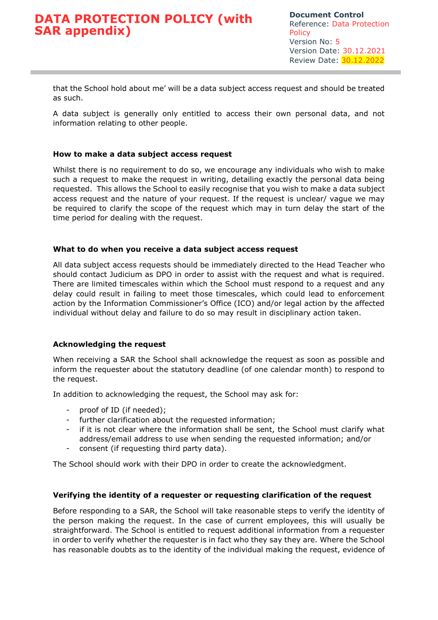that the School hold about me' will be a data subject access request and should be treated as such.

A data subject is generally only entitled to access their own personal data, and not information relating to other people.

### **How to make a data subject access request**

Whilst there is no requirement to do so, we encourage any individuals who wish to make such a request to make the request in writing, detailing exactly the personal data being requested. This allows the School to easily recognise that you wish to make a data subject access request and the nature of your request. If the request is unclear/ vague we may be required to clarify the scope of the request which may in turn delay the start of the time period for dealing with the request.

### **What to do when you receive a data subject access request**

All data subject access requests should be immediately directed to the Head Teacher who should contact Judicium as DPO in order to assist with the request and what is required. There are limited timescales within which the School must respond to a request and any delay could result in failing to meet those timescales, which could lead to enforcement action by the Information Commissioner's Office (ICO) and/or legal action by the affected individual without delay and failure to do so may result in disciplinary action taken.

### **Acknowledging the request**

When receiving a SAR the School shall acknowledge the request as soon as possible and inform the requester about the statutory deadline (of one calendar month) to respond to the request.

In addition to acknowledging the request, the School may ask for:

- proof of ID (if needed);
- further clarification about the requested information;
- if it is not clear where the information shall be sent, the School must clarify what address/email address to use when sending the requested information; and/or
- consent (if requesting third party data).

The School should work with their DPO in order to create the acknowledgment.

#### **Verifying the identity of a requester or requesting clarification of the request**

Before responding to a SAR, the School will take reasonable steps to verify the identity of the person making the request. In the case of current employees, this will usually be straightforward. The School is entitled to request additional information from a requester in order to verify whether the requester is in fact who they say they are. Where the School has reasonable doubts as to the identity of the individual making the request, evidence of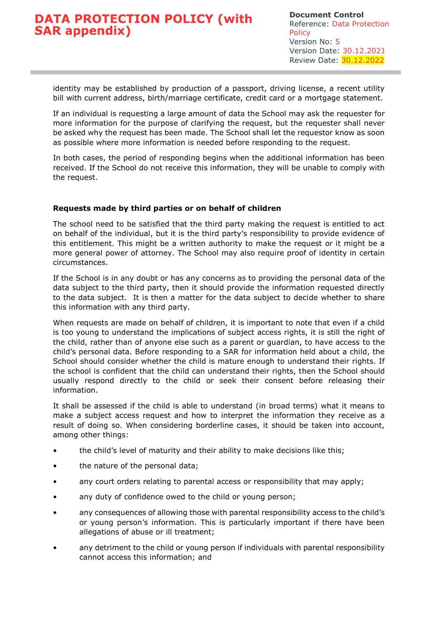identity may be established by production of a passport, driving license, a recent utility bill with current address, birth/marriage certificate, credit card or a mortgage statement.

If an individual is requesting a large amount of data the School may ask the requester for more information for the purpose of clarifying the request, but the requester shall never be asked why the request has been made. The School shall let the requestor know as soon as possible where more information is needed before responding to the request.

In both cases, the period of responding begins when the additional information has been received. If the School do not receive this information, they will be unable to comply with the request.

### **Requests made by third parties or on behalf of children**

The school need to be satisfied that the third party making the request is entitled to act on behalf of the individual, but it is the third party's responsibility to provide evidence of this entitlement. This might be a written authority to make the request or it might be a more general power of attorney. The School may also require proof of identity in certain circumstances.

If the School is in any doubt or has any concerns as to providing the personal data of the data subject to the third party, then it should provide the information requested directly to the data subject. It is then a matter for the data subject to decide whether to share this information with any third party.

When requests are made on behalf of children, it is important to note that even if a child is too young to understand the implications of subject access rights, it is still the right of the child, rather than of anyone else such as a parent or guardian, to have access to the child's personal data. Before responding to a SAR for information held about a child, the School should consider whether the child is mature enough to understand their rights. If the school is confident that the child can understand their rights, then the School should usually respond directly to the child or seek their consent before releasing their information.

It shall be assessed if the child is able to understand (in broad terms) what it means to make a subject access request and how to interpret the information they receive as a result of doing so. When considering borderline cases, it should be taken into account, among other things:

- the child's level of maturity and their ability to make decisions like this;
- the nature of the personal data;
- any court orders relating to parental access or responsibility that may apply;
- any duty of confidence owed to the child or young person;
- any consequences of allowing those with parental responsibility access to the child's or young person's information. This is particularly important if there have been allegations of abuse or ill treatment;
- any detriment to the child or young person if individuals with parental responsibility cannot access this information; and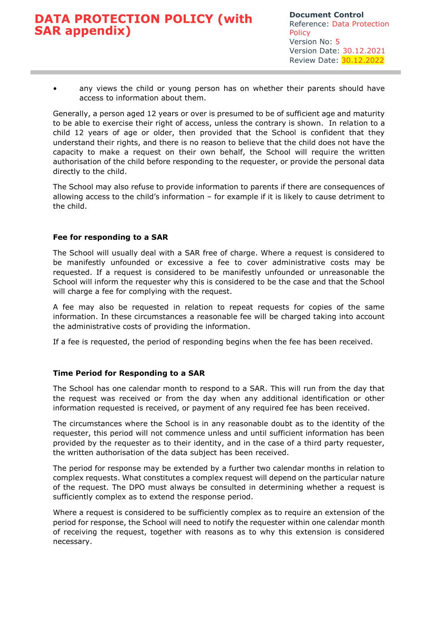• any views the child or young person has on whether their parents should have access to information about them.

Generally, a person aged 12 years or over is presumed to be of sufficient age and maturity to be able to exercise their right of access, unless the contrary is shown. In relation to a child 12 years of age or older, then provided that the School is confident that they understand their rights, and there is no reason to believe that the child does not have the capacity to make a request on their own behalf, the School will require the written authorisation of the child before responding to the requester, or provide the personal data directly to the child.

The School may also refuse to provide information to parents if there are consequences of allowing access to the child's information – for example if it is likely to cause detriment to the child.

### **Fee for responding to a SAR**

The School will usually deal with a SAR free of charge. Where a request is considered to be manifestly unfounded or excessive a fee to cover administrative costs may be requested. If a request is considered to be manifestly unfounded or unreasonable the School will inform the requester why this is considered to be the case and that the School will charge a fee for complying with the request.

A fee may also be requested in relation to repeat requests for copies of the same information. In these circumstances a reasonable fee will be charged taking into account the administrative costs of providing the information.

If a fee is requested, the period of responding begins when the fee has been received.

### **Time Period for Responding to a SAR**

The School has one calendar month to respond to a SAR. This will run from the day that the request was received or from the day when any additional identification or other information requested is received, or payment of any required fee has been received.

The circumstances where the School is in any reasonable doubt as to the identity of the requester, this period will not commence unless and until sufficient information has been provided by the requester as to their identity, and in the case of a third party requester, the written authorisation of the data subject has been received.

The period for response may be extended by a further two calendar months in relation to complex requests. What constitutes a complex request will depend on the particular nature of the request. The DPO must always be consulted in determining whether a request is sufficiently complex as to extend the response period.

Where a request is considered to be sufficiently complex as to require an extension of the period for response, the School will need to notify the requester within one calendar month of receiving the request, together with reasons as to why this extension is considered necessary.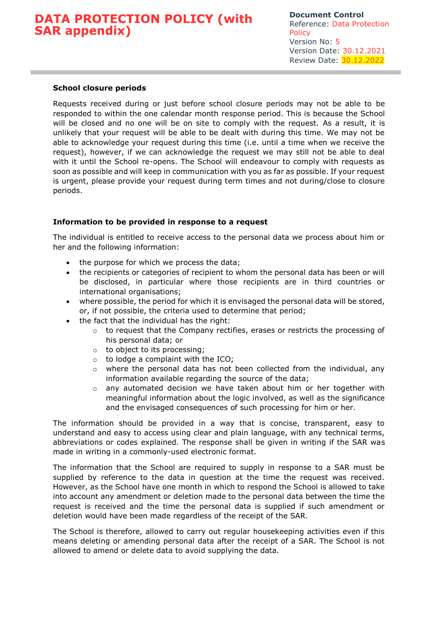### **School closure periods**

Requests received during or just before school closure periods may not be able to be responded to within the one calendar month response period. This is because the School will be closed and no one will be on site to comply with the request. As a result, it is unlikely that your request will be able to be dealt with during this time. We may not be able to acknowledge your request during this time (i.e. until a time when we receive the request), however, if we can acknowledge the request we may still not be able to deal with it until the School re-opens. The School will endeavour to comply with requests as soon as possible and will keep in communication with you as far as possible. If your request is urgent, please provide your request during term times and not during/close to closure periods.

### **Information to be provided in response to a request**

The individual is entitled to receive access to the personal data we process about him or her and the following information:

- the purpose for which we process the data;
- the recipients or categories of recipient to whom the personal data has been or will be disclosed, in particular where those recipients are in third countries or international organisations;
- where possible, the period for which it is envisaged the personal data will be stored, or, if not possible, the criteria used to determine that period;
- the fact that the individual has the right:
	- $\circ$  to request that the Company rectifies, erases or restricts the processing of his personal data; or
	- o to object to its processing;
	- $\circ$  to lodge a complaint with the ICO:
	- where the personal data has not been collected from the individual, any information available regarding the source of the data;
	- o any automated decision we have taken about him or her together with meaningful information about the logic involved, as well as the significance and the envisaged consequences of such processing for him or her.

The information should be provided in a way that is concise, transparent, easy to understand and easy to access using clear and plain language, with any technical terms, abbreviations or codes explained. The response shall be given in writing if the SAR was made in writing in a commonly-used electronic format.

The information that the School are required to supply in response to a SAR must be supplied by reference to the data in question at the time the request was received. However, as the School have one month in which to respond the School is allowed to take into account any amendment or deletion made to the personal data between the time the request is received and the time the personal data is supplied if such amendment or deletion would have been made regardless of the receipt of the SAR.

The School is therefore, allowed to carry out regular housekeeping activities even if this means deleting or amending personal data after the receipt of a SAR. The School is not allowed to amend or delete data to avoid supplying the data.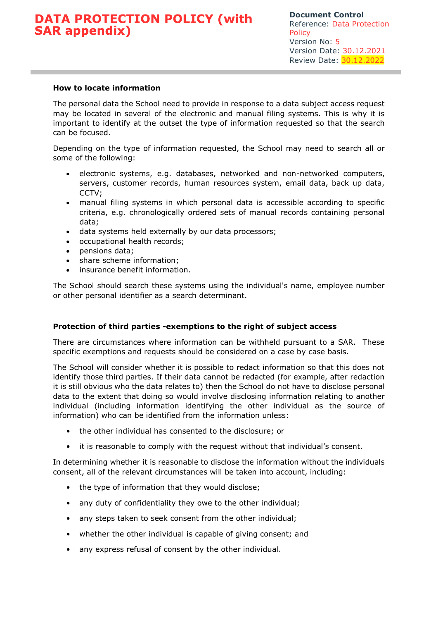### **How to locate information**

The personal data the School need to provide in response to a data subject access request may be located in several of the electronic and manual filing systems. This is why it is important to identify at the outset the type of information requested so that the search can be focused.

Depending on the type of information requested, the School may need to search all or some of the following:

- electronic systems, e.g. databases, networked and non-networked computers, servers, customer records, human resources system, email data, back up data, CCTV;
- manual filing systems in which personal data is accessible according to specific criteria, e.g. chronologically ordered sets of manual records containing personal data;
- data systems held externally by our data processors;
- occupational health records;
- pensions data;
- share scheme information:
- insurance benefit information.

The School should search these systems using the individual's name, employee number or other personal identifier as a search determinant.

#### **Protection of third parties -exemptions to the right of subject access**

There are circumstances where information can be withheld pursuant to a SAR. These specific exemptions and requests should be considered on a case by case basis.

The School will consider whether it is possible to redact information so that this does not identify those third parties. If their data cannot be redacted (for example, after redaction it is still obvious who the data relates to) then the School do not have to disclose personal data to the extent that doing so would involve disclosing information relating to another individual (including information identifying the other individual as the source of information) who can be identified from the information unless:

- the other individual has consented to the disclosure; or
- it is reasonable to comply with the request without that individual's consent.

In determining whether it is reasonable to disclose the information without the individuals consent, all of the relevant circumstances will be taken into account, including:

- the type of information that they would disclose;
- any duty of confidentiality they owe to the other individual;
- any steps taken to seek consent from the other individual;
- whether the other individual is capable of giving consent; and
- any express refusal of consent by the other individual.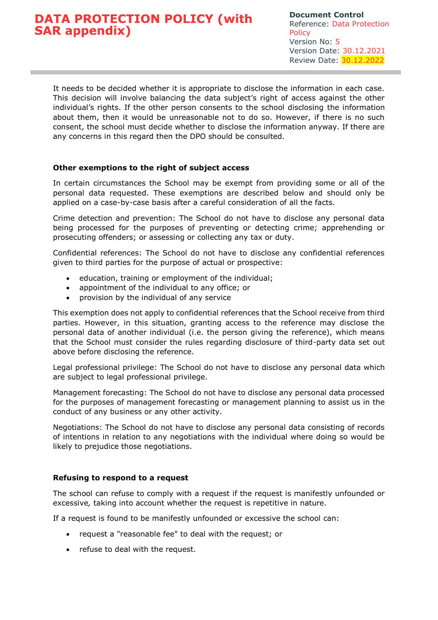It needs to be decided whether it is appropriate to disclose the information in each case. This decision will involve balancing the data subject's right of access against the other individual's rights. If the other person consents to the school disclosing the information about them, then it would be unreasonable not to do so. However, if there is no such consent, the school must decide whether to disclose the information anyway. If there are any concerns in this regard then the DPO should be consulted.

### **Other exemptions to the right of subject access**

In certain circumstances the School may be exempt from providing some or all of the personal data requested. These exemptions are described below and should only be applied on a case-by-case basis after a careful consideration of all the facts.

Crime detection and prevention: The School do not have to disclose any personal data being processed for the purposes of preventing or detecting crime; apprehending or prosecuting offenders; or assessing or collecting any tax or duty.

Confidential references: The School do not have to disclose any confidential references given to third parties for the purpose of actual or prospective:

- education, training or employment of the individual;
- appointment of the individual to any office; or
- provision by the individual of any service

This exemption does not apply to confidential references that the School receive from third parties. However, in this situation, granting access to the reference may disclose the personal data of another individual (i.e. the person giving the reference), which means that the School must consider the rules regarding disclosure of third-party data set out above before disclosing the reference.

Legal professional privilege: The School do not have to disclose any personal data which are subject to legal professional privilege.

Management forecasting: The School do not have to disclose any personal data processed for the purposes of management forecasting or management planning to assist us in the conduct of any business or any other activity.

Negotiations: The School do not have to disclose any personal data consisting of records of intentions in relation to any negotiations with the individual where doing so would be likely to prejudice those negotiations.

### **Refusing to respond to a request**

The school can refuse to comply with a request if the request is manifestly unfounded or excessive*,* taking into account whether the request is repetitive in nature.

If a request is found to be manifestly unfounded or excessive the school can:

- request a "reasonable fee" to deal with the request; or
- refuse to deal with the request.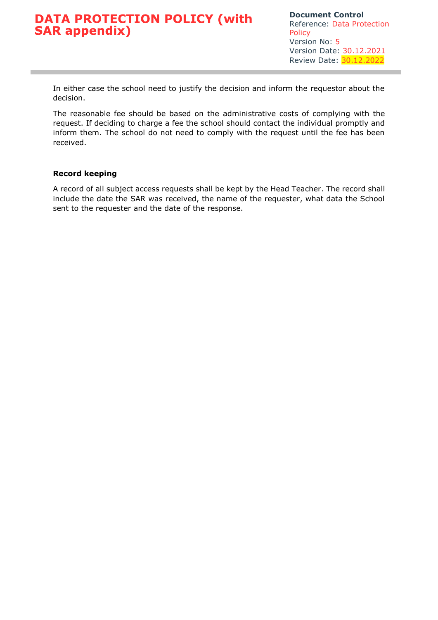In either case the school need to justify the decision and inform the requestor about the decision.

The reasonable fee should be based on the administrative costs of complying with the request. If deciding to charge a fee the school should contact the individual promptly and inform them. The school do not need to comply with the request until the fee has been received.

### **Record keeping**

A record of all subject access requests shall be kept by the Head Teacher. The record shall include the date the SAR was received, the name of the requester, what data the School sent to the requester and the date of the response.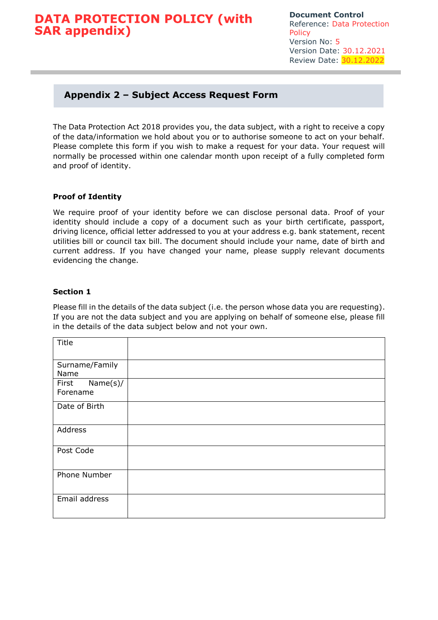**Document Control** Reference: Data Protection **Policy** Version No: 5 Version Date: 30.12.2021 Review Date: 30.12.2022

### **Appendix 2 – Subject Access Request Form**

The Data Protection Act 2018 provides you, the data subject, with a right to receive a copy of the data/information we hold about you or to authorise someone to act on your behalf. Please complete this form if you wish to make a request for your data. Your request will normally be processed within one calendar month upon receipt of a fully completed form and proof of identity.

### **Proof of Identity**

We require proof of your identity before we can disclose personal data. Proof of your identity should include a copy of a document such as your birth certificate, passport, driving licence, official letter addressed to you at your address e.g. bank statement, recent utilities bill or council tax bill. The document should include your name, date of birth and current address. If you have changed your name, please supply relevant documents evidencing the change.

### **Section 1**

Please fill in the details of the data subject (i.e. the person whose data you are requesting). If you are not the data subject and you are applying on behalf of someone else, please fill in the details of the data subject below and not your own.

| Title                         |  |
|-------------------------------|--|
| Surname/Family<br>Name        |  |
| Name(s)/<br>First<br>Forename |  |
| Date of Birth                 |  |
| Address                       |  |
| Post Code                     |  |
| Phone Number                  |  |
| Email address                 |  |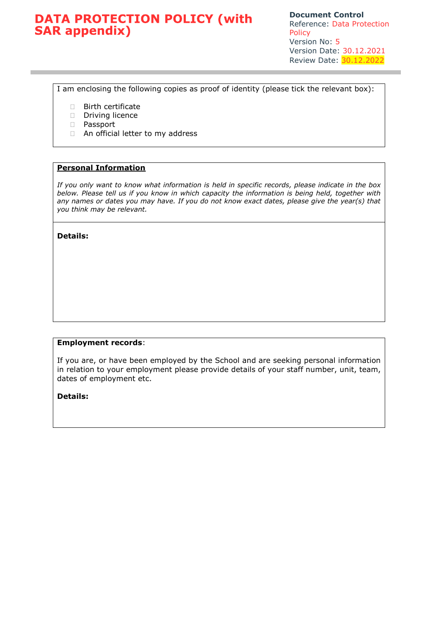**Document Control** Reference: Data Protection Policy Version No: 5 Version Date: 30.12.2021 Review Date: 30.12.2022

I am enclosing the following copies as proof of identity (please tick the relevant box):

- **Birth certificate**
- Driving licence
- Passport
- □ An official letter to my address

### **Personal Information**

*If you only want to know what information is held in specific records, please indicate in the box below. Please tell us if you know in which capacity the information is being held, together with any names or dates you may have. If you do not know exact dates, please give the year(s) that you think may be relevant.* 

**Details:** 

### **Employment records**:

If you are, or have been employed by the School and are seeking personal information in relation to your employment please provide details of your staff number, unit, team, dates of employment etc.

**Details:**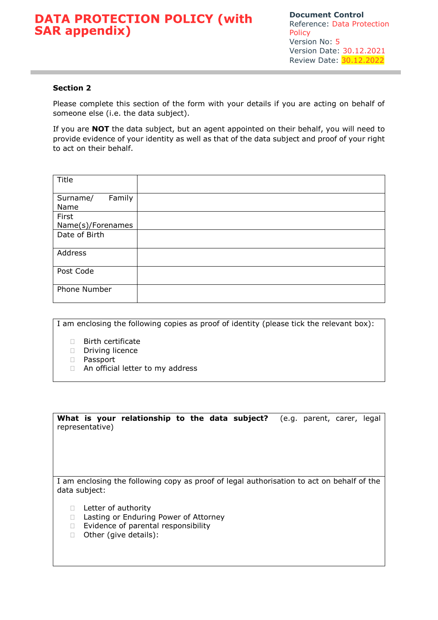### **Section 2**

Please complete this section of the form with your details if you are acting on behalf of someone else (i.e. the data subject).

If you are **NOT** the data subject, but an agent appointed on their behalf, you will need to provide evidence of your identity as well as that of the data subject and proof of your right to act on their behalf.

| Title              |  |
|--------------------|--|
| Family<br>Surname/ |  |
| Name               |  |
| First              |  |
| Name(s)/Forenames  |  |
| Date of Birth      |  |
| Address            |  |
| Post Code          |  |
| Phone Number       |  |

I am enclosing the following copies as proof of identity (please tick the relevant box):

- Birth certificate
- Driving licence
- **D** Passport
- □ An official letter to my address

**What is your relationship to the data subject?** (e.g. parent, carer, legal representative)

I am enclosing the following copy as proof of legal authorisation to act on behalf of the data subject:

- D Letter of authority
- □ Lasting or Enduring Power of Attorney
- $\Box$  Evidence of parental responsibility
- □ Other (give details):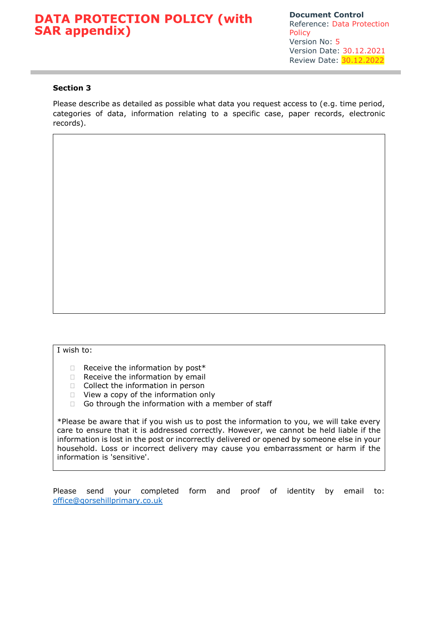### **Section 3**

Please describe as detailed as possible what data you request access to (e.g. time period, categories of data, information relating to a specific case, paper records, electronic records).

#### I wish to:

- $\Box$  Receive the information by post\*
- $\Box$  Receive the information by email
- $\Box$  Collect the information in person
- □ View a copy of the information only
- Go through the information with a member of staff

\*Please be aware that if you wish us to post the information to you, we will take every care to ensure that it is addressed correctly. However, we cannot be held liable if the information is lost in the post or incorrectly delivered or opened by someone else in your household. Loss or incorrect delivery may cause you embarrassment or harm if the information is 'sensitive'.

Please send your completed form and proof of identity by email to: [office@gorsehillprimary.co.uk](mailto:office@gorsehillprimary.co.uk)